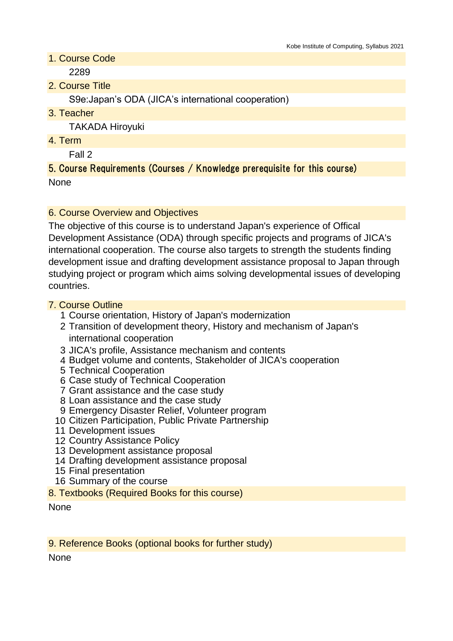1. Course Code

2289

2. Course Title

S9e:Japan's ODA (JICA's international cooperation)

3. Teacher

TAKADA Hiroyuki

4. Term

Fall 2

## 5. Course Requirements (Courses / Knowledge prerequisite for this course) None

### 6. Course Overview and Objectives

The objective of this course is to understand Japan's experience of Offical Development Assistance (ODA) through specific projects and programs of JICA's international cooperation. The course also targets to strength the students finding development issue and drafting development assistance proposal to Japan through studying project or program which aims solving developmental issues of developing countries.

### 7. Course Outline

- 1 Course orientation, History of Japan's modernization
- 2 Transition of development theory, History and mechanism of Japan's international cooperation
- 3 JICA's profile, Assistance mechanism and contents
- 4 Budget volume and contents, Stakeholder of JICA's cooperation
- 5 Technical Cooperation
- 6 Case study of Technical Cooperation
- 7 Grant assistance and the case study
- 8 Loan assistance and the case study
- 9 Emergency Disaster Relief, Volunteer program
- 10 Citizen Participation, Public Private Partnership
- 11 Development issues
- 12 Country Assistance Policy
- 13 Development assistance proposal
- 14 Drafting development assistance proposal
- 15 Final presentation
- 16 Summary of the course
- 8. Textbooks (Required Books for this course)

None

9. Reference Books (optional books for further study)

None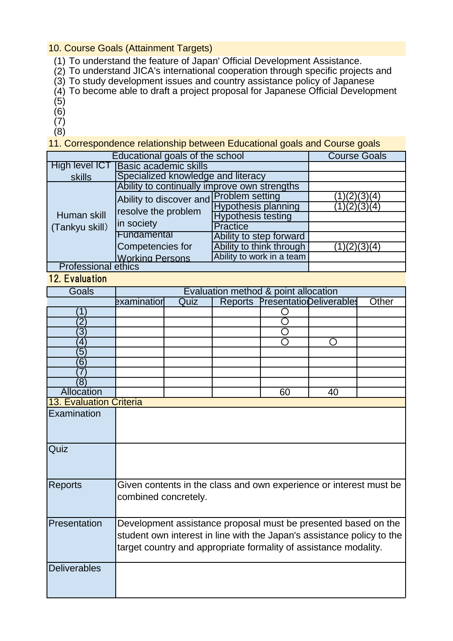### 10. Course Goals (Attainment Targets)

- (1) To understand the feature of Japan' Official Development Assistance.
- (2) To understand JICA's international cooperation through specific projects and
- (3) To study development issues and country assistance policy of Japanese
- (4) To become able to draft a project proposal for Japanese Official Development
- (5)
- (6)
- (7)
- (8)

11. Correspondence relationship between Educational goals and Course goals

| Educational goals of the school | <b>Course Goals</b>                                                          |                            |             |
|---------------------------------|------------------------------------------------------------------------------|----------------------------|-------------|
| High level ICT                  | Basic academic skills                                                        |                            |             |
| skills                          | Specialized knowledge and literacy                                           |                            |             |
| Human skill<br>(Tankyu skill)   | Ability to continually improve own strengths                                 |                            |             |
|                                 | Ability to discover and Problem setting<br>resolve the problem<br>in society |                            | (3)(4)      |
|                                 |                                                                              | <b>Hypothesis planning</b> | 1)(2)(3)(4) |
|                                 |                                                                              | <b>Hypothesis testing</b>  |             |
|                                 |                                                                              | <b>Practice</b>            |             |
|                                 | Fundamental                                                                  | Ability to step forward    |             |
|                                 | Competencies for                                                             | Ability to think through   | 1)(2)(3)(4) |
|                                 | <b>Working Persons</b>                                                       | Ability to work in a team  |             |
| <b>Professional ethics</b>      |                                                                              |                            |             |

#### 12. Evaluation

| Goals                   |                                                                        |                                                                |                | Evaluation method & point allocation |                                 |       |
|-------------------------|------------------------------------------------------------------------|----------------------------------------------------------------|----------------|--------------------------------------|---------------------------------|-------|
|                         | examination                                                            | Quiz                                                           | <b>Reports</b> |                                      | <b>PresentationDeliverables</b> | Other |
|                         |                                                                        |                                                                |                |                                      |                                 |       |
| $\overline{2}$          |                                                                        |                                                                |                |                                      |                                 |       |
| $\overline{3}$          |                                                                        |                                                                |                |                                      |                                 |       |
| 4                       |                                                                        |                                                                |                |                                      |                                 |       |
| 5                       |                                                                        |                                                                |                |                                      |                                 |       |
| 6                       |                                                                        |                                                                |                |                                      |                                 |       |
|                         |                                                                        |                                                                |                |                                      |                                 |       |
| ΄8                      |                                                                        |                                                                |                |                                      |                                 |       |
| Allocation              |                                                                        |                                                                |                | 60                                   | 40                              |       |
| 13. Evaluation Criteria |                                                                        |                                                                |                |                                      |                                 |       |
| Examination             |                                                                        |                                                                |                |                                      |                                 |       |
|                         |                                                                        |                                                                |                |                                      |                                 |       |
|                         |                                                                        |                                                                |                |                                      |                                 |       |
| Quiz                    |                                                                        |                                                                |                |                                      |                                 |       |
|                         |                                                                        |                                                                |                |                                      |                                 |       |
|                         |                                                                        |                                                                |                |                                      |                                 |       |
|                         |                                                                        |                                                                |                |                                      |                                 |       |
| <b>Reports</b>          | Given contents in the class and own experience or interest must be     |                                                                |                |                                      |                                 |       |
|                         | combined concretely.                                                   |                                                                |                |                                      |                                 |       |
|                         |                                                                        |                                                                |                |                                      |                                 |       |
| Presentation            |                                                                        | Development assistance proposal must be presented based on the |                |                                      |                                 |       |
|                         | student own interest in line with the Japan's assistance policy to the |                                                                |                |                                      |                                 |       |
|                         | target country and appropriate formality of assistance modality.       |                                                                |                |                                      |                                 |       |
|                         |                                                                        |                                                                |                |                                      |                                 |       |
| <b>Deliverables</b>     |                                                                        |                                                                |                |                                      |                                 |       |
|                         |                                                                        |                                                                |                |                                      |                                 |       |
|                         |                                                                        |                                                                |                |                                      |                                 |       |
|                         |                                                                        |                                                                |                |                                      |                                 |       |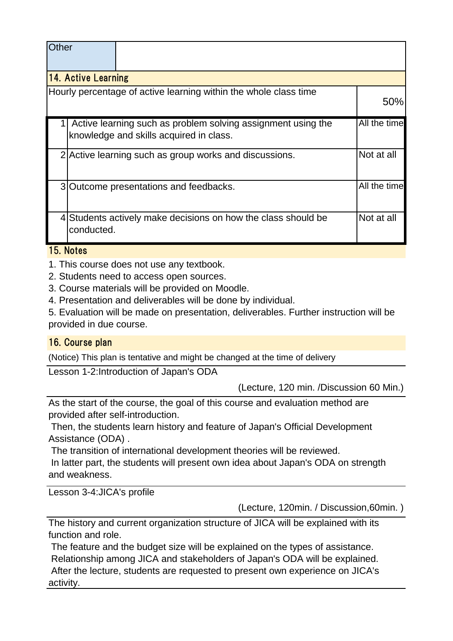| Other                                                                                                   |                                                        |                                                                  |              |  |  |  |
|---------------------------------------------------------------------------------------------------------|--------------------------------------------------------|------------------------------------------------------------------|--------------|--|--|--|
| 14. Active Learning                                                                                     |                                                        |                                                                  |              |  |  |  |
|                                                                                                         |                                                        | Hourly percentage of active learning within the whole class time | 50%          |  |  |  |
| Active learning such as problem solving assignment using the<br>knowledge and skills acquired in class. |                                                        |                                                                  |              |  |  |  |
|                                                                                                         | 2 Active learning such as group works and discussions. |                                                                  |              |  |  |  |
|                                                                                                         |                                                        | 3 Outcome presentations and feedbacks.                           | All the time |  |  |  |
|                                                                                                         | conducted.                                             | 4 Students actively make decisions on how the class should be    | Not at all   |  |  |  |

# 15. Notes

1. This course does not use any textbook.

2. Students need to access open sources.

3. Course materials will be provided on Moodle.

4. Presentation and deliverables will be done by individual.

5. Evaluation will be made on presentation, deliverables. Further instruction will be provided in due course.

# 16. Course plan

(Notice) This plan is tentative and might be changed at the time of delivery

Lesson 1-2:Introduction of Japan's ODA

(Lecture, 120 min. /Discussion 60 Min.)

As the start of the course, the goal of this course and evaluation method are provided after self-introduction.

 Then, the students learn history and feature of Japan's Official Development Assistance (ODA) .

 The transition of international development theories will be reviewed. In latter part, the students will present own idea about Japan's ODA on strength

and weakness.

Lesson 3-4:JICA's profile

(Lecture, 120min. / Discussion,60min. )

The history and current organization structure of JICA will be explained with its function and role.

 The feature and the budget size will be explained on the types of assistance. Relationship among JICA and stakeholders of Japan's ODA will be explained. After the lecture, students are requested to present own experience on JICA's activity.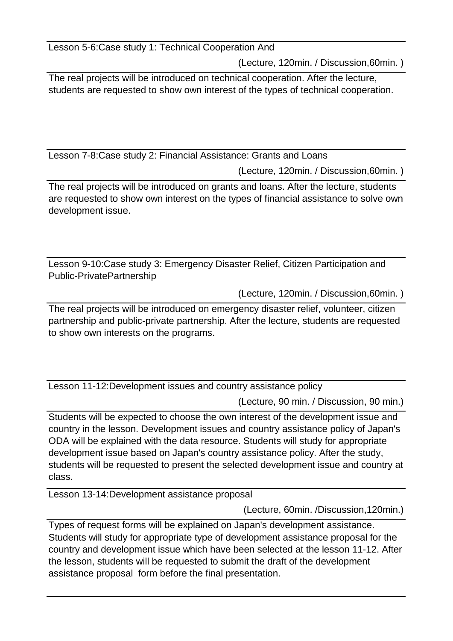Lesson 5-6:Case study 1: Technical Cooperation And

(Lecture, 120min. / Discussion,60min. )

The real projects will be introduced on technical cooperation. After the lecture, students are requested to show own interest of the types of technical cooperation.

Lesson 7-8:Case study 2: Financial Assistance: Grants and Loans

(Lecture, 120min. / Discussion,60min. )

The real projects will be introduced on grants and loans. After the lecture, students are requested to show own interest on the types of financial assistance to solve own development issue.

Lesson 9-10:Case study 3: Emergency Disaster Relief, Citizen Participation and Public-PrivatePartnership

(Lecture, 120min. / Discussion,60min. )

The real projects will be introduced on emergency disaster relief, volunteer, citizen partnership and public-private partnership. After the lecture, students are requested to show own interests on the programs.

Lesson 11-12:Development issues and country assistance policy

(Lecture, 90 min. / Discussion, 90 min.)

Students will be expected to choose the own interest of the development issue and country in the lesson. Development issues and country assistance policy of Japan's ODA will be explained with the data resource. Students will study for appropriate development issue based on Japan's country assistance policy. After the study, students will be requested to present the selected development issue and country at class.

Lesson 13-14:Development assistance proposal

(Lecture, 60min. /Discussion,120min.)

Types of request forms will be explained on Japan's development assistance. Students will study for appropriate type of development assistance proposal for the country and development issue which have been selected at the lesson 11-12. After the lesson, students will be requested to submit the draft of the development assistance proposal form before the final presentation.